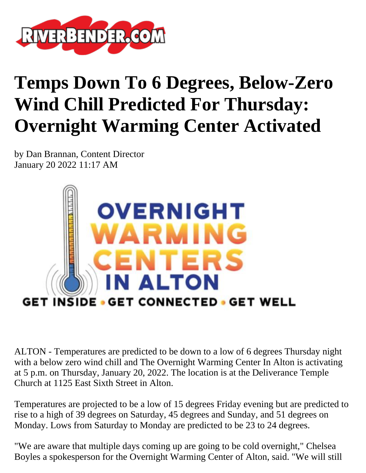

## **Temps Down To 6 Degrees, Below-Zero Wind Chill Predicted For Thursday: Overnight Warming Center Activated**

by Dan Brannan, Content Director January 20 2022 11:17 AM



ALTON - Temperatures are predicted to be down to a low of 6 degrees Thursday night with a below zero wind chill and The Overnight Warming Center In Alton is activating at 5 p.m. on Thursday, January 20, 2022. The location is at the Deliverance Temple Church at 1125 East Sixth Street in Alton.

Temperatures are projected to be a low of 15 degrees Friday evening but are predicted to rise to a high of 39 degrees on Saturday, 45 degrees and Sunday, and 51 degrees on Monday. Lows from Saturday to Monday are predicted to be 23 to 24 degrees.

"We are aware that multiple days coming up are going to be cold overnight," Chelsea Boyles a spokesperson for the Overnight Warming Center of Alton, said. "We will still